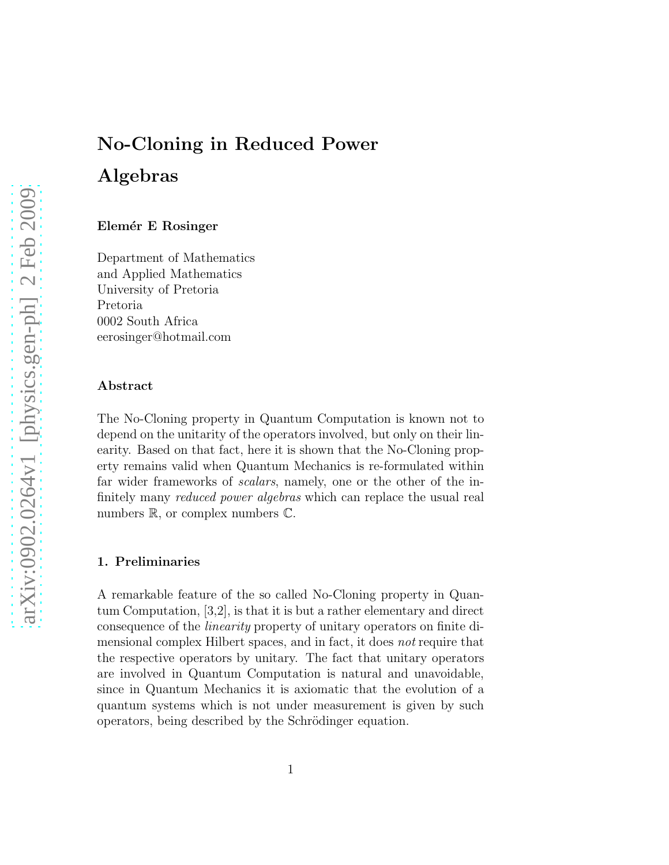# No-Cloning in Reduced Power Algebras

#### Elemér E Rosinger

Department of Mathematics and Applied Mathematics University of Pretoria Pretoria 0002 South Africa eerosinger@hotmail.com

#### Abstract

The No-Cloning property in Quantum Computation is known not to depend on the unitarity of the operators involved, but only on their linearity. Based on that fact, here it is shown that the No-Cloning property remains valid when Quantum Mechanics is re-formulated within far wider frameworks of scalars, namely, one or the other of the infinitely many reduced power algebras which can replace the usual real numbers  $\mathbb{R}$ , or complex numbers  $\mathbb{C}$ .

#### 1. Preliminaries

A remarkable feature of the so called No-Cloning property in Quantum Computation, [3,2], is that it is but a rather elementary and direct consequence of the linearity property of unitary operators on finite dimensional complex Hilbert spaces, and in fact, it does not require that the respective operators by unitary. The fact that unitary operators are involved in Quantum Computation is natural and unavoidable, since in Quantum Mechanics it is axiomatic that the evolution of a quantum systems which is not under measurement is given by such operators, being described by the Schrödinger equation.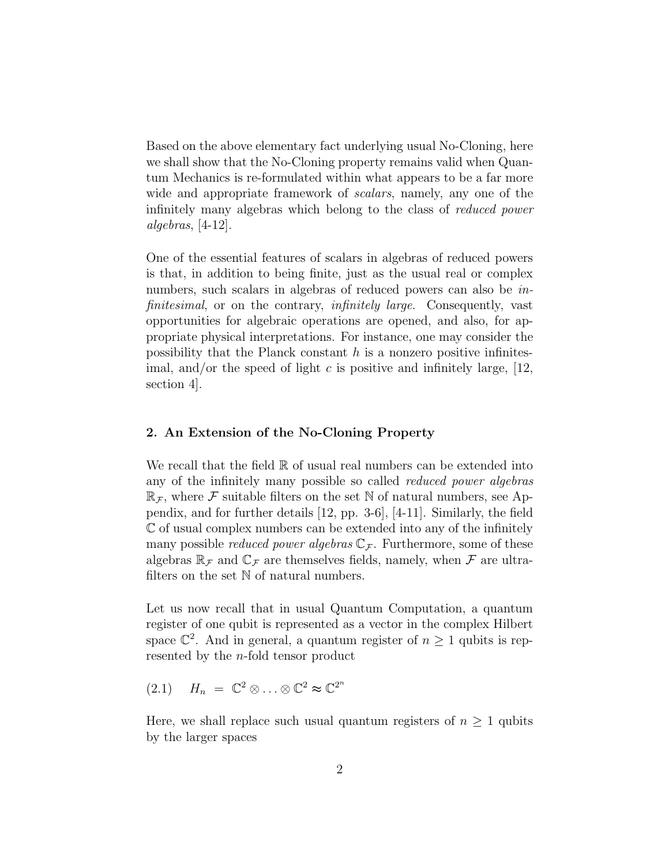Based on the above elementary fact underlying usual No-Cloning, here we shall show that the No-Cloning property remains valid when Quantum Mechanics is re-formulated within what appears to be a far more wide and appropriate framework of scalars, namely, any one of the infinitely many algebras which belong to the class of reduced power algebras,  $[4-12]$ .

One of the essential features of scalars in algebras of reduced powers is that, in addition to being finite, just as the usual real or complex numbers, such scalars in algebras of reduced powers can also be *in*finitesimal, or on the contrary, *infinitely large*. Consequently, vast opportunities for algebraic operations are opened, and also, for appropriate physical interpretations. For instance, one may consider the possibility that the Planck constant  $h$  is a nonzero positive infinitesimal, and/or the speed of light c is positive and infinitely large,  $[12,$ section 4].

# 2. An Extension of the No-Cloning Property

We recall that the field  $\mathbb R$  of usual real numbers can be extended into any of the infinitely many possible so called reduced power algebras  $\mathbb{R}_{\mathcal{F}}$ , where  $\mathcal F$  suitable filters on the set N of natural numbers, see Appendix, and for further details [12, pp. 3-6], [4-11]. Similarly, the field C of usual complex numbers can be extended into any of the infinitely many possible *reduced power algebras*  $\mathbb{C}_{\mathcal{F}}$ . Furthermore, some of these algebras  $\mathbb{R}_{\mathcal{F}}$  and  $\mathbb{C}_{\mathcal{F}}$  are themselves fields, namely, when  $\mathcal{F}$  are ultrafilters on the set  $\mathbb N$  of natural numbers.

Let us now recall that in usual Quantum Computation, a quantum register of one qubit is represented as a vector in the complex Hilbert space  $\mathbb{C}^2$ . And in general, a quantum register of  $n \geq 1$  qubits is represented by the n-fold tensor product

 $(2.1)$   $H_n = \mathbb{C}^2 \otimes \ldots \otimes \mathbb{C}^2 \approx \mathbb{C}^{2^n}$ 

Here, we shall replace such usual quantum registers of  $n \geq 1$  qubits by the larger spaces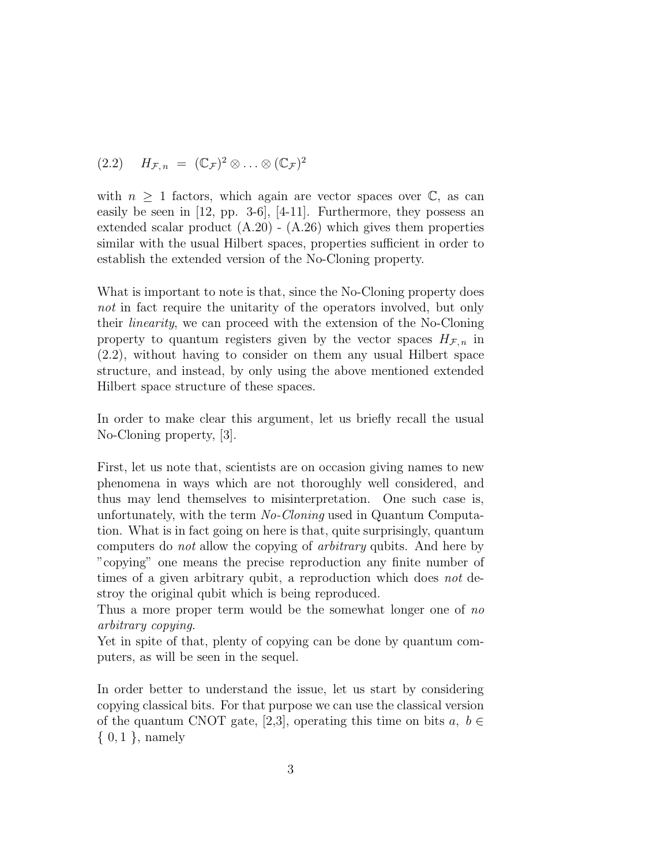$$
(2.2) \quad H_{\mathcal{F},n} = (\mathbb{C}_{\mathcal{F}})^2 \otimes \ldots \otimes (\mathbb{C}_{\mathcal{F}})^2
$$

with  $n \geq 1$  factors, which again are vector spaces over  $\mathbb{C}$ , as can easily be seen in [12, pp. 3-6], [4-11]. Furthermore, they possess an extended scalar product  $(A.20)$  -  $(A.26)$  which gives them properties similar with the usual Hilbert spaces, properties sufficient in order to establish the extended version of the No-Cloning property.

What is important to note is that, since the No-Cloning property does not in fact require the unitarity of the operators involved, but only their linearity, we can proceed with the extension of the No-Cloning property to quantum registers given by the vector spaces  $H_{\mathcal{F}, n}$  in (2.2), without having to consider on them any usual Hilbert space structure, and instead, by only using the above mentioned extended Hilbert space structure of these spaces.

In order to make clear this argument, let us briefly recall the usual No-Cloning property, [3].

First, let us note that, scientists are on occasion giving names to new phenomena in ways which are not thoroughly well considered, and thus may lend themselves to misinterpretation. One such case is, unfortunately, with the term No-Cloning used in Quantum Computation. What is in fact going on here is that, quite surprisingly, quantum computers do not allow the copying of arbitrary qubits. And here by "copying" one means the precise reproduction any finite number of times of a given arbitrary qubit, a reproduction which does not destroy the original qubit which is being reproduced.

Thus a more proper term would be the somewhat longer one of no arbitrary copying.

Yet in spite of that, plenty of copying can be done by quantum computers, as will be seen in the sequel.

In order better to understand the issue, let us start by considering copying classical bits. For that purpose we can use the classical version of the quantum CNOT gate, [2,3], operating this time on bits  $a, b \in$  $\{0,1\}$ , namely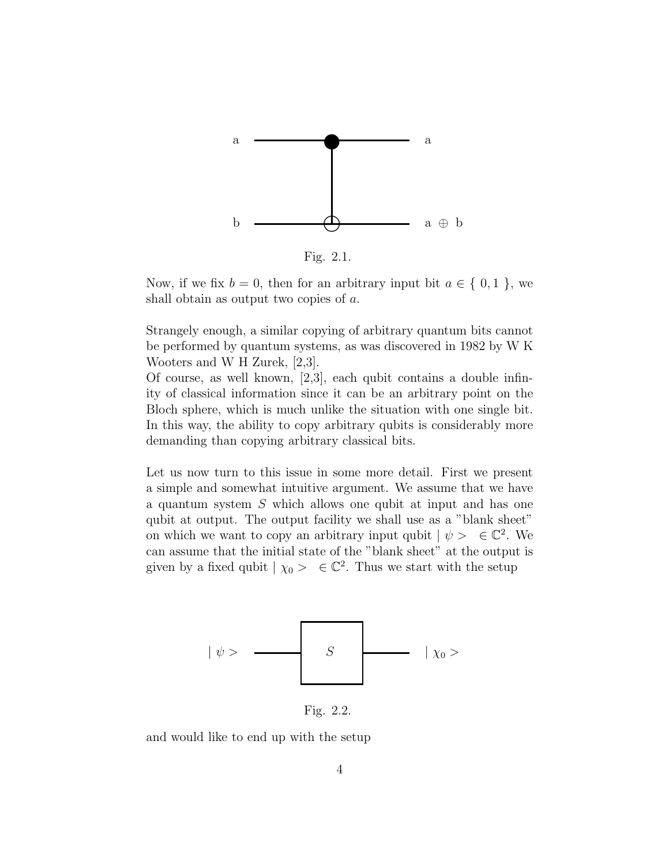

Fig. 2.1.

Now, if we fix  $b = 0$ , then for an arbitrary input bit  $a \in \{0, 1\}$ , we shall obtain as output two copies of a.

Strangely enough, a similar copying of arbitrary quantum bits cannot be performed by quantum systems, as was discovered in 1982 by W K Wooters and W H Zurek, [2,3].

Of course, as well known, [2,3], each qubit contains a double infinity of classical information since it can be an arbitrary point on the Bloch sphere, which is much unlike the situation with one single bit. In this way, the ability to copy arbitrary qubits is considerably more demanding than copying arbitrary classical bits.

Let us now turn to this issue in some more detail. First we present a simple and somewhat intuitive argument. We assume that we have a quantum system S which allows one qubit at input and has one qubit at output. The output facility we shall use as a "blank sheet" on which we want to copy an arbitrary input qubit  $|\psi\rangle \in \mathbb{C}^2$ . We can assume that the initial state of the "blank sheet" at the output is given by a fixed qubit  $| \chi_0 \rangle \in \mathbb{C}^2$ . Thus we start with the setup



Fig. 2.2.

and would like to end up with the setup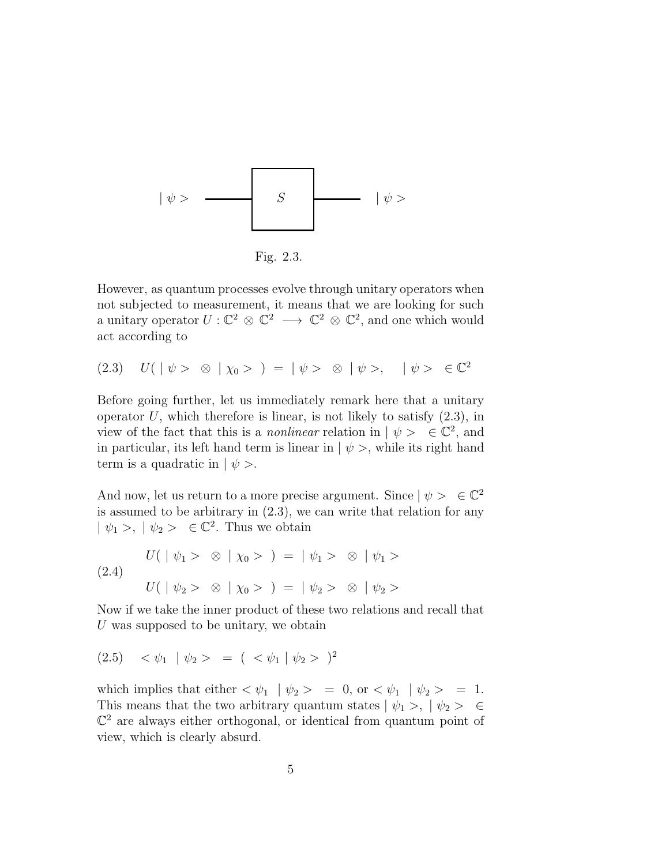

Fig. 2.3.

However, as quantum processes evolve through unitary operators when not subjected to measurement, it means that we are looking for such a unitary operator  $U: \mathbb{C}^2 \otimes \mathbb{C}^2 \longrightarrow \mathbb{C}^2 \otimes \mathbb{C}^2$ , and one which would act according to

(2.3)  $U(\ |\ \psi > \otimes \ |\ \chi_0 > \ ) = |\ \psi > \otimes \ |\ \psi >, \ |\ \psi > \ \in \mathbb{C}^2$ 

Before going further, let us immediately remark here that a unitary operator  $U$ , which therefore is linear, is not likely to satisfy  $(2.3)$ , in view of the fact that this is a *nonlinear* relation in  $| \psi \rangle \in \mathbb{C}^2$ , and in particular, its left hand term is linear in  $|\psi\rangle$ , while its right hand term is a quadratic in  $|\psi\rangle$ .

And now, let us return to a more precise argument. Since  $|\psi\rangle \in \mathbb{C}^2$ is assumed to be arbitrary in  $(2.3)$ , we can write that relation for any  $|\psi_1\rangle, |\psi_2\rangle \in \mathbb{C}^2$ . Thus we obtain

(2.4)  

$$
U(|\psi_1\rangle \otimes |\chi_0\rangle) = |\psi_1\rangle \otimes |\psi_1\rangle
$$

$$
U(|\psi_2\rangle \otimes |\chi_0\rangle) = |\psi_2\rangle \otimes |\psi_2\rangle
$$

Now if we take the inner product of these two relations and recall that U was supposed to be unitary, we obtain

(2.5)  $\langle \psi_1 | \psi_2 \rangle = (\langle \psi_1 | \psi_2 \rangle)^2$ 

which implies that either  $\langle \psi_1 | \psi_2 \rangle = 0$ , or  $\langle \psi_1 | \psi_2 \rangle = 1$ . This means that the two arbitrary quantum states  $|\psi_1\rangle$ ,  $|\psi_2\rangle \in \mathcal{L}$  $\mathbb{C}^2$  are always either orthogonal, or identical from quantum point of view, which is clearly absurd.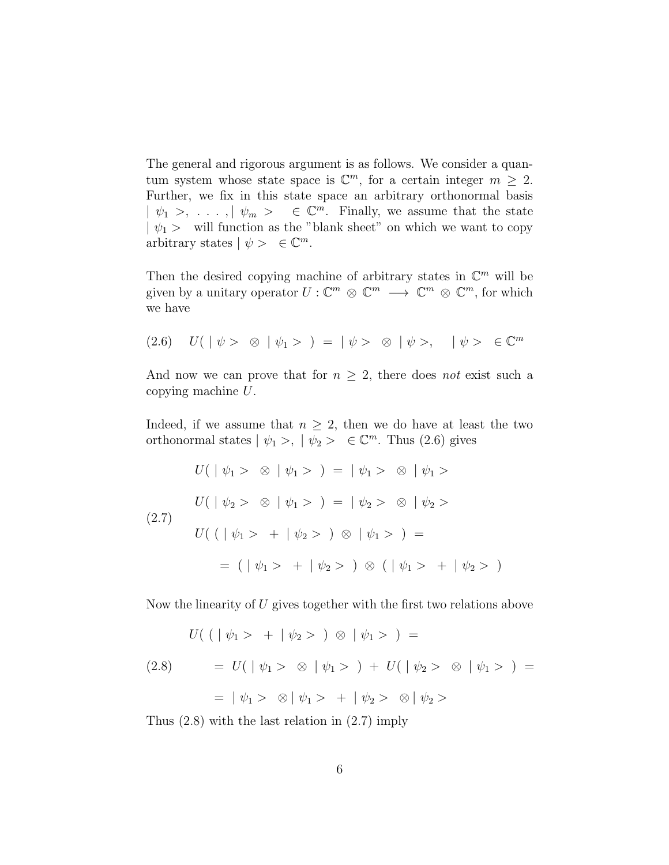The general and rigorous argument is as follows. We consider a quantum system whose state space is  $\mathbb{C}^m$ , for a certain integer  $m \geq 2$ . Further, we fix in this state space an arbitrary orthonormal basis  $| \psi_1 \rangle, \ldots, | \psi_m \rangle \in \mathbb{C}^m$ . Finally, we assume that the state  $|\psi_1\rangle$  will function as the "blank sheet" on which we want to copy arbitrary states  $| \psi \rangle \in \mathbb{C}^m$ .

Then the desired copying machine of arbitrary states in  $\mathbb{C}^m$  will be given by a unitary operator  $U: \mathbb{C}^m \otimes \mathbb{C}^m \longrightarrow \mathbb{C}^m \otimes \mathbb{C}^m$ , for which we have

$$
(2.6) \quad U(|\psi\rangle \otimes |\psi_1\rangle) = |\psi\rangle \otimes |\psi\rangle, \quad |\psi\rangle \in \mathbb{C}^m
$$

And now we can prove that for  $n \geq 2$ , there does not exist such a copying machine U.

Indeed, if we assume that  $n \geq 2$ , then we do have at least the two orthonormal states  $|\psi_1\rangle, |\psi_2\rangle \in \mathbb{C}^m$ . Thus  $(2.6)$  gives

$$
U(|\psi_1 > \otimes | \psi_1 > ) = | \psi_1 > \otimes | \psi_1 >
$$
  
\n
$$
U(|\psi_2 > \otimes | \psi_1 > ) = | \psi_2 > \otimes | \psi_2 >
$$
  
\n
$$
U((|\psi_1 > + | \psi_2 > ) \otimes | \psi_1 > ) =
$$
  
\n
$$
= (|\psi_1 > + | \psi_2 > ) \otimes (|\psi_1 > + | \psi_2 > )
$$

Now the linearity of U gives together with the first two relations above

$$
U((|\psi_1 > + | \psi_2 >) \otimes | \psi_1 >) =
$$
  
(2.8) 
$$
= U(|\psi_1 > \otimes | \psi_1 >) + U(|\psi_2 > \otimes | \psi_1 >) =
$$
  

$$
= |\psi_1 > \otimes | \psi_1 > + | \psi_2 > \otimes | \psi_2 >
$$

Thus (2.8) with the last relation in (2.7) imply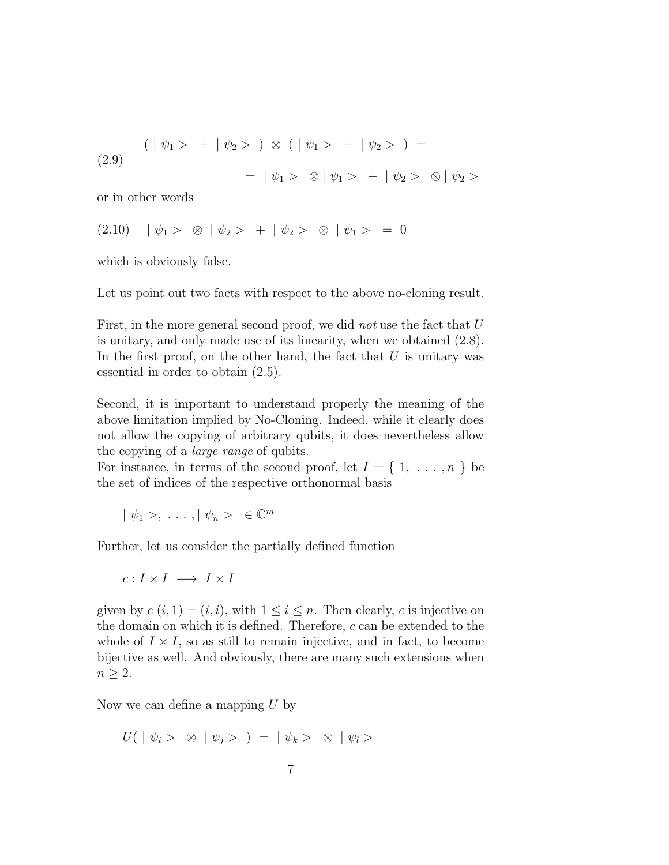(2.9)  
\n
$$
(\ |\psi_1 > + \ |\psi_2 > ) \otimes (\ |\psi_1 > + \ |\psi_2 > ) =
$$
\n
$$
= \ |\psi_1 > \otimes \ |\psi_1 > + \ |\psi_2 > \otimes \ |\psi_2 >
$$

or in other words

$$
(2.10) \quad | \psi_1 > \otimes | \psi_2 > + | \psi_2 > \otimes | \psi_1 > = 0
$$

which is obviously false.

Let us point out two facts with respect to the above no-cloning result.

First, in the more general second proof, we did *not* use the fact that U is unitary, and only made use of its linearity, when we obtained (2.8). In the first proof, on the other hand, the fact that  $U$  is unitary was essential in order to obtain (2.5).

Second, it is important to understand properly the meaning of the above limitation implied by No-Cloning. Indeed, while it clearly does not allow the copying of arbitrary qubits, it does nevertheless allow the copying of a large range of qubits.

For instance, in terms of the second proof, let  $I = \{1, \ldots, n\}$  be the set of indices of the respective orthonormal basis

$$
| \psi_1 >, \ldots, | \psi_n > \in \mathbb{C}^m
$$

Further, let us consider the partially defined function

$$
c: I \times I \longrightarrow I \times I
$$

given by  $c(i, 1) = (i, i)$ , with  $1 \leq i \leq n$ . Then clearly, c is injective on the domain on which it is defined. Therefore,  $c$  can be extended to the whole of  $I \times I$ , so as still to remain injective, and in fact, to become bijective as well. And obviously, there are many such extensions when  $n \geq 2$ .

Now we can define a mapping  $U$  by

$$
U( \mid \psi_i > \otimes \mid \psi_j > ) = \mid \psi_k > \otimes \mid \psi_l >
$$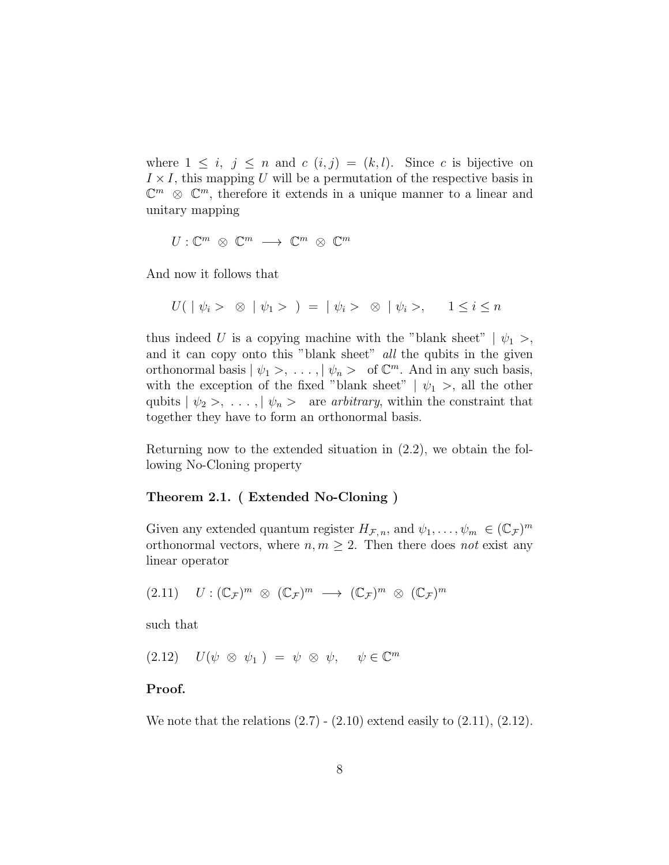where  $1 \leq i, j \leq n$  and  $c(i,j) = (k,l)$ . Since c is bijective on  $I \times I$ , this mapping U will be a permutation of the respective basis in  $\mathbb{C}^m$   $\otimes$   $\mathbb{C}^m$ , therefore it extends in a unique manner to a linear and unitary mapping

 $U: \mathbb{C}^m \; \otimes \; \mathbb{C}^m \; \longrightarrow \; \mathbb{C}^m \; \otimes \; \mathbb{C}^m$ 

And now it follows that

$$
U(\mid \psi_i > \otimes \mid \psi_1 > \cdot) = \mid \psi_i > \otimes \mid \psi_i >, \quad 1 \leq i \leq n
$$

thus indeed U is a copying machine with the "blank sheet"  $|\psi_1\rangle$ , and it can copy onto this "blank sheet" all the qubits in the given orthonormal basis  $|\psi_1 \rangle, \ldots, |\psi_n \rangle$  of  $\mathbb{C}^m$ . And in any such basis, with the exception of the fixed "blank sheet"  $|\psi_1\rangle$ , all the other qubits  $|\psi_2\rangle, \ldots, |\psi_n\rangle$  are arbitrary, within the constraint that together they have to form an orthonormal basis.

Returning now to the extended situation in (2.2), we obtain the following No-Cloning property

### Theorem 2.1. ( Extended No-Cloning )

Given any extended quantum register  $H_{\mathcal{F},n}$ , and  $\psi_1,\ldots,\psi_m \in (\mathbb{C}_{\mathcal{F}})^m$ orthonormal vectors, where  $n, m \geq 2$ . Then there does not exist any linear operator

$$
(2.11) \quad U: (\mathbb{C}_{\mathcal{F}})^m \otimes (\mathbb{C}_{\mathcal{F}})^m \longrightarrow (\mathbb{C}_{\mathcal{F}})^m \otimes (\mathbb{C}_{\mathcal{F}})^m
$$

such that

 $(2.12)$   $U(\psi \otimes \psi_1) = \psi \otimes \psi, \quad \psi \in \mathbb{C}^m$ 

# Proof.

We note that the relations  $(2.7)$  -  $(2.10)$  extend easily to  $(2.11)$ ,  $(2.12)$ .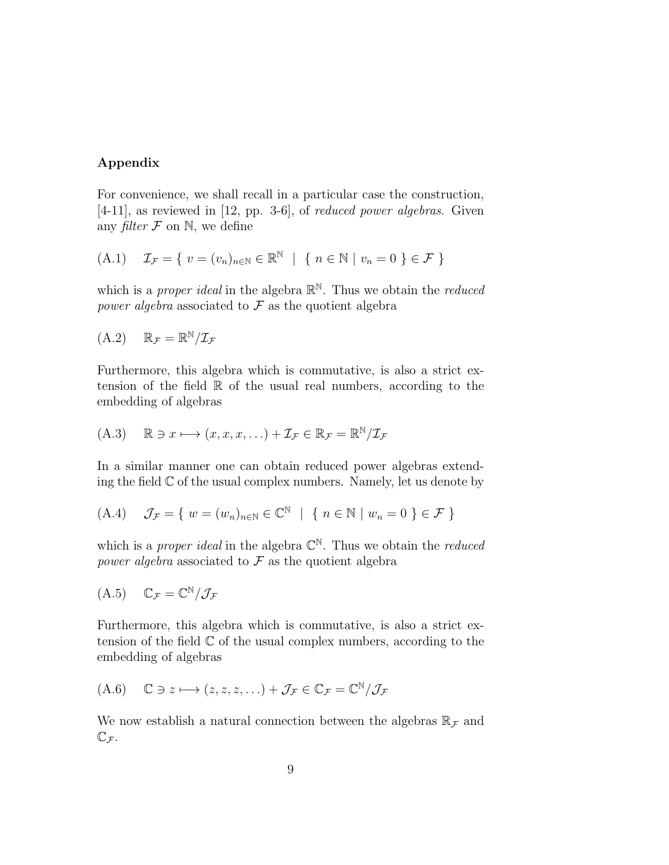# Appendix

For convenience, we shall recall in a particular case the construction, [4-11], as reviewed in [12, pp. 3-6], of reduced power algebras. Given any filter  $\mathcal F$  on  $\mathbb N$ , we define

$$
(A.1) \quad \mathcal{I}_{\mathcal{F}} = \{ v = (v_n)_{n \in \mathbb{N}} \in \mathbb{R}^{\mathbb{N}} \mid \{ n \in \mathbb{N} \mid v_n = 0 \} \in \mathcal{F} \}
$$

which is a *proper ideal* in the algebra  $\mathbb{R}^{\mathbb{N}}$ . Thus we obtain the *reduced* power algebra associated to  $\mathcal F$  as the quotient algebra

$$
(A.2) \qquad \mathbb{R}_{\mathcal{F}} = \mathbb{R}^{\mathbb{N}} / \mathcal{I}_{\mathcal{F}}
$$

Furthermore, this algebra which is commutative, is also a strict extension of the field  $\mathbb R$  of the usual real numbers, according to the embedding of algebras

$$
(A.3) \quad \mathbb{R} \ni x \longmapsto (x, x, x, \ldots) + \mathcal{I}_{\mathcal{F}} \in \mathbb{R}_{\mathcal{F}} = \mathbb{R}^{\mathbb{N}}/\mathcal{I}_{\mathcal{F}}
$$

In a similar manner one can obtain reduced power algebras extending the field  $\mathbb C$  of the usual complex numbers. Namely, let us denote by

$$
(A.4) \quad \mathcal{J}_{\mathcal{F}} = \{ w = (w_n)_{n \in \mathbb{N}} \in \mathbb{C}^{\mathbb{N}} \mid \{ n \in \mathbb{N} \mid w_n = 0 \} \in \mathcal{F} \}
$$

which is a *proper ideal* in the algebra  $\mathbb{C}^{\mathbb{N}}$ . Thus we obtain the *reduced* power algebra associated to  $\mathcal F$  as the quotient algebra

$$
(A.5) \quad \mathbb{C}_{\mathcal{F}} = \mathbb{C}^{\mathbb{N}} / \mathcal{J}_{\mathcal{F}}
$$

Furthermore, this algebra which is commutative, is also a strict extension of the field  $\mathbb C$  of the usual complex numbers, according to the embedding of algebras

$$
(A.6) \quad \mathbb{C} \ni z \longmapsto (z, z, z, \ldots) + \mathcal{J}_{\mathcal{F}} \in \mathbb{C}_{\mathcal{F}} = \mathbb{C}^{\mathbb{N}} / \mathcal{J}_{\mathcal{F}}
$$

We now establish a natural connection between the algebras  $\mathbb{R}_{\mathcal{F}}$  and  $\mathbb{C}_{\mathcal{F}}$ .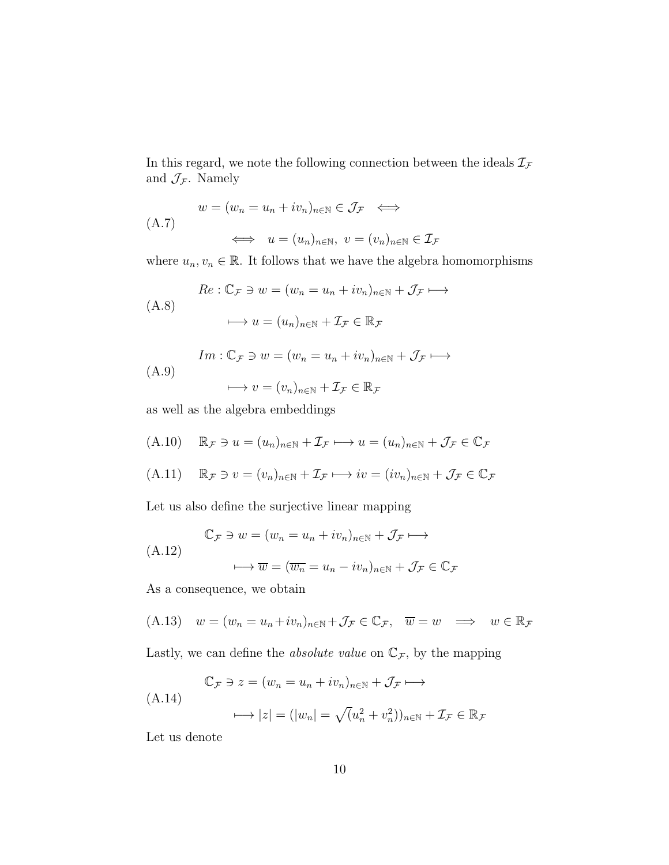In this regard, we note the following connection between the ideals  $\mathcal{I}_{\mathcal{F}}$ and  $\mathcal{J}_{\mathcal{F}}$ . Namely

$$
(A.7)
$$
\n
$$
w = (w_n = u_n + iv_n)_{n \in \mathbb{N}} \in \mathcal{J}_{\mathcal{F}} \iff
$$
\n
$$
\iff u = (u_n)_{n \in \mathbb{N}}, \ v = (v_n)_{n \in \mathbb{N}} \in \mathcal{I}_{\mathcal{F}}
$$

where  $u_n, v_n \in \mathbb{R}$ . It follows that we have the algebra homomorphisms

$$
(A.8) \quad \begin{aligned} Re: \mathbb{C}_{\mathcal{F}} &\ni w = (w_n = u_n + iv_n)_{n \in \mathbb{N}} + \mathcal{J}_{\mathcal{F}} \longmapsto \\ &\longmapsto u = (u_n)_{n \in \mathbb{N}} + \mathcal{I}_{\mathcal{F}} \in \mathbb{R}_{\mathcal{F}} \end{aligned}
$$

$$
(A.9) \quad Im: \mathbb{C}_{\mathcal{F}} \ni w = (w_n = u_n + iv_n)_{n \in \mathbb{N}} + \mathcal{J}_{\mathcal{F}} \longmapsto
$$
\n
$$
\longrightarrow v = (v_n)_{n \in \mathbb{N}} + \mathcal{I}_{\mathcal{F}} \in \mathbb{R}_{\mathcal{F}}
$$

as well as the algebra embeddings

$$
(A.10) \quad \mathbb{R}_{\mathcal{F}} \ni u = (u_n)_{n \in \mathbb{N}} + \mathcal{I}_{\mathcal{F}} \longmapsto u = (u_n)_{n \in \mathbb{N}} + \mathcal{J}_{\mathcal{F}} \in \mathbb{C}_{\mathcal{F}}
$$

(A.11) 
$$
\mathbb{R}_{\mathcal{F}} \ni v = (v_n)_{n \in \mathbb{N}} + \mathcal{I}_{\mathcal{F}} \longmapsto iv = (iv_n)_{n \in \mathbb{N}} + \mathcal{J}_{\mathcal{F}} \in \mathbb{C}_{\mathcal{F}}
$$

Let us also define the surjective linear mapping

$$
\mathbb{C}_{\mathcal{F}} \ni w = (w_n = u_n + iv_n)_{n \in \mathbb{N}} + \mathcal{J}_{\mathcal{F}} \longmapsto
$$
  
(A.12)  

$$
\longmapsto \overline{w} = (\overline{w_n} = u_n - iv_n)_{n \in \mathbb{N}} + \mathcal{J}_{\mathcal{F}} \in \mathbb{C}_{\mathcal{F}}
$$

As a consequence, we obtain

(A.13) 
$$
w = (w_n = u_n + iv_n)_{n \in \mathbb{N}} + \mathcal{J}_{\mathcal{F}} \in \mathbb{C}_{\mathcal{F}}, \quad w = w \implies w \in \mathbb{R}_{\mathcal{F}}
$$

Lastly, we can define the *absolute value* on  $\mathbb{C}_{\mathcal{F}}$ , by the mapping

$$
\mathbb{C}_{\mathcal{F}} \ni z = (w_n = u_n + iv_n)_{n \in \mathbb{N}} + \mathcal{J}_{\mathcal{F}} \longmapsto
$$
\n
$$
(\text{A.14}) \qquad \qquad \longmapsto |z| = (|w_n| = \sqrt{(u_n^2 + v_n^2)})_{n \in \mathbb{N}} + \mathcal{I}_{\mathcal{F}} \in \mathbb{R}_{\mathcal{F}}
$$

Let us denote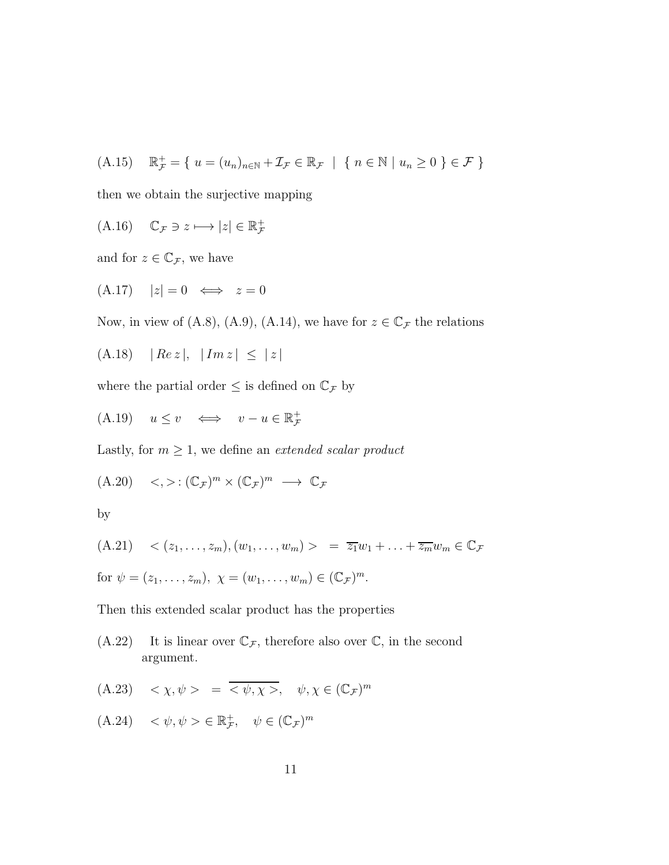$$
(A.15) \quad \mathbb{R}^+_{\mathcal{F}} = \{ u = (u_n)_{n \in \mathbb{N}} + \mathcal{I}_{\mathcal{F}} \in \mathbb{R}_{\mathcal{F}} \mid \{ n \in \mathbb{N} \mid u_n \ge 0 \} \in \mathcal{F} \}
$$

then we obtain the surjective mapping

$$
(A.16) \quad \mathbb{C}_{\mathcal{F}} \ni z \longmapsto |z| \in \mathbb{R}_{\mathcal{F}}^{+}
$$

and for  $z \in \mathbb{C}_{\mathcal{F}}$ , we have

$$
(A.17) \quad |z| = 0 \iff z = 0
$$

Now, in view of (A.8), (A.9), (A.14), we have for  $z \in \mathbb{C}_{\mathcal{F}}$  the relations

$$
(A.18) \quad |Re\,z|, \ |Im\,z| \le |z|
$$

where the partial order  $\leq$  is defined on  $\mathbb{C}_{\mathcal{F}}$  by

$$
(A.19) \quad u \le v \quad \Longleftrightarrow \quad v - u \in \mathbb{R}^+_{\mathcal{F}}
$$

Lastly, for  $m \geq 1$ , we define an *extended scalar product* 

$$
(A.20) \quad <,>:(\mathbb{C}_{\mathcal{F}})^m \times (\mathbb{C}_{\mathcal{F}})^m \longrightarrow \mathbb{C}_{\mathcal{F}}
$$

by

(A.21) 
$$
\langle (z_1, \ldots, z_m), (w_1, \ldots, w_m) \rangle = \overline{z_1} w_1 + \ldots + \overline{z_m} w_m \in \mathbb{C}_{\mathcal{F}}
$$
  
for  $\psi = (z_1, \ldots, z_m), \ \chi = (w_1, \ldots, w_m) \in (\mathbb{C}_{\mathcal{F}})^m$ .

Then this extended scalar product has the properties

 $(A.22)$  It is linear over  $\mathbb{C}_{\mathcal{F}}$ , therefore also over  $\mathbb{C}$ , in the second argument.

$$
(A.23) \quad \langle \chi, \psi \rangle = \overline{\langle \psi, \chi \rangle}, \quad \psi, \chi \in (\mathbb{C}_{\mathcal{F}})^m
$$

$$
(A.24) \quad <\psi, \psi> \in \mathbb{R}^+_F, \quad \psi \in (\mathbb{C}^{\mathbb{C}})^m
$$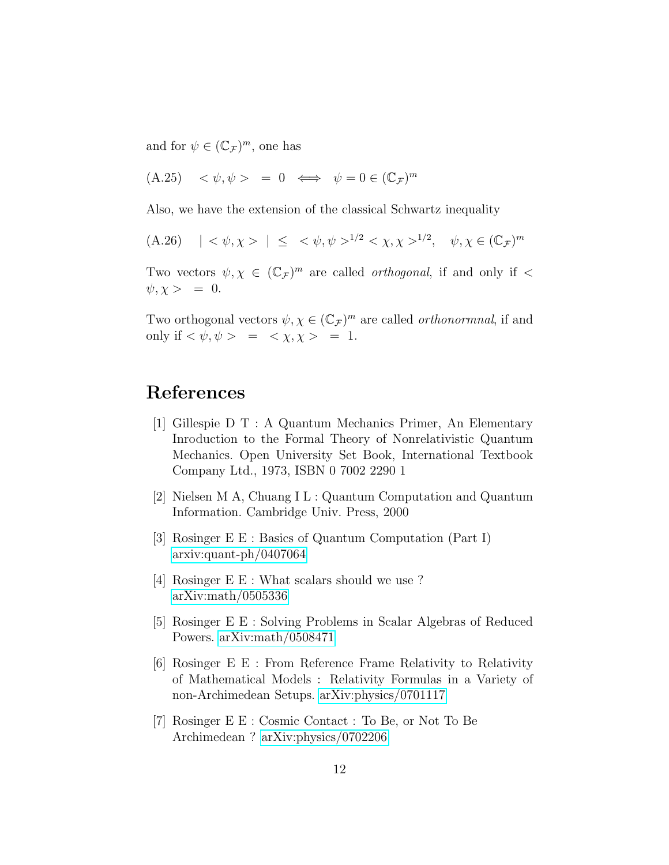and for  $\psi \in (\mathbb{C}_{\mathcal{F}})^m$ , one has

$$
(A.25) \quad <\psi,\psi> = 0 \iff \psi = 0 \in (\mathbb{C}_{\mathcal{F}})^m
$$

Also, we have the extension of the classical Schwartz inequality

(A.26) 
$$
| \langle \psi, \chi \rangle | \leq \langle \psi, \psi \rangle^{1/2} \langle \chi, \chi \rangle^{1/2}, \quad \psi, \chi \in (\mathbb{C}_{\mathcal{F}})^m
$$

Two vectors  $\psi, \chi \in (\mathbb{C}_{\mathcal{F}})^m$  are called *orthogonal*, if and only if <  $\psi, \chi > = 0.$ 

Two orthogonal vectors  $\psi, \chi \in (\mathbb{C}_{\mathcal{F}})^m$  are called *orthonormnal*, if and only if  $\langle \psi, \psi \rangle = \langle \chi, \chi \rangle = 1$ .

# References

- [1] Gillespie D T : A Quantum Mechanics Primer, An Elementary Inroduction to the Formal Theory of Nonrelativistic Quantum Mechanics. Open University Set Book, International Textbook Company Ltd., 1973, ISBN 0 7002 2290 1
- [2] Nielsen M A, Chuang I L : Quantum Computation and Quantum Information. Cambridge Univ. Press, 2000
- [3] Rosinger E E : Basics of Quantum Computation (Part I) [arxiv:quant-ph/0407064](http://arxiv.org/abs/quant-ph/0407064)
- [4] Rosinger E E : What scalars should we use ? [arXiv:math/0505336](http://arxiv.org/abs/math/0505336)
- [5] Rosinger E E : Solving Problems in Scalar Algebras of Reduced Powers. [arXiv:math/0508471](http://arxiv.org/abs/math/0508471)
- [6] Rosinger E E : From Reference Frame Relativity to Relativity of Mathematical Models : Relativity Formulas in a Variety of non-Archimedean Setups. [arXiv:physics/0701117](http://arxiv.org/abs/physics/0701117)
- [7] Rosinger E E : Cosmic Contact : To Be, or Not To Be Archimedean ? [arXiv:physics/0702206](http://arxiv.org/abs/physics/0702206)